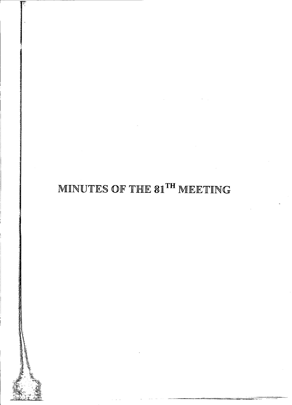# MINUTES OF THE 81TH MEETING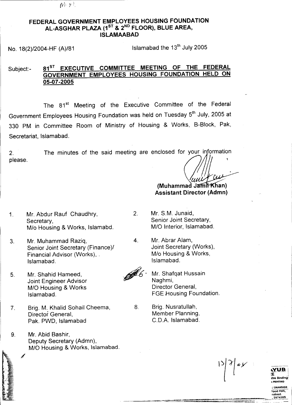$\mathbb{N}^{3}$   $\mathbb{V}^{3}$ .

#### FEDERAL GOVERNMENT EMPLOYEES HOUSING FOUNDATION AL-ASGHAR PLAZA (1<sup>st</sup> & 2<sup>nd</sup> FLOOR), BLUE AREA ISLAMAABAD

No.  $18(2)/2004$ -HF (A)/81 Islamabad the  $13<sup>th</sup>$  July 2005

#### Subject:- 81<sup>ST</sup> EXECUTIVE COMMITTEE MEETING OF THE FEDERAL GOVERNMENT EMPLOYEES HOUSING FOUNDATION HELD ON 05-07-2005

The 81<sup>st</sup> Meeting of the Executive Committee of the Federal Government Employees Housing Foundation was held on Tuesday 5<sup>th</sup> July, 2005 at 330 PM in Committee Room of Ministry of Housing & Works, B-Block, Pak, Secretariat, Islamabad.

2. please. The minutes of the said meeting are enclosed for your information

- 1. Mr. Abdur Rauf Chaudhry, Secretary, *Mlo* Housing & Works, Islamabd.
- 3. Mr. Muhammad Raziq, Senior Joint Secretary (Finance)/ Financial Advisor (Works), . Islamabad.
- 5. Mr. Shahid Hameed, Joint Engineer Advisor *MID* Housing & Works Islamabad.
- 7. Brig. M. Khalid Sohail Cheema, Director General, Pak. PWD, Islamabad
- 9. Mr. Abid Bashir, Deputy Secretary (Admn), *M/O* Housing & Works, Islamabad.

2. Mr. S.M. Junaid, Senior Joint Secretary, M/D Interior, Islamabad.

8.

FFF !

- 4. Mr. Abrar Alam, Joint Secretary (Works), *Mlo* Housing & Works, Islamabad.
	- Mr. Shafqat Hussain Naghmi, Director General, FGE Housing Foundation.

 $(Muhammad Jami Khan)$ Assistant Director (Admn)

Brig. Nusratullah, Member Planning, C.D.A. Islamabad.



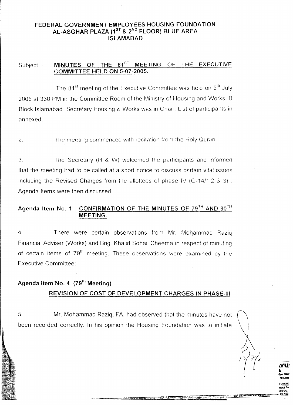#### FEDERAL GOVERNMENT EMPLOYEES HOUSING FOUNDATION AL-ASGHAR PLAZA (1<sup>ST</sup> & 2<sup>ND</sup> FLOOR) BLUE AREA ISLAMABAD

#### MINUTES OF THE 81<sup>ST</sup> MEETING OF THE EXECUTIVE Subject. -COMMITTEE HELD ON 5-07 -2005.

annexed The  $81^{\text{st}}$  meeting of the Executive Committee was held on  $5^{\text{th}}$  July 2005 at 330 PM In the Committee Room of the Ministry of Housing and Works, B Block Islamabad. Secretary Housing & Works was in Chair. List of participants in

The meeting commenced with recitation from the Holy Quran.  $\mathbf{c}$ 

The Secretary (H & W) welcomed the participants and informed  $\mathcal{E}$ that the meeting had to be called at a short notice to discuss certain vital issues including the Revised Charges from the allottees of phase IV ( $G-14/1, 2, 3$ ). Agenda Items were then discussed.

### Agenda Item No. 1 CONFIRMATION OF THE MINUTES OF  $79<sup>TH</sup>$  AND  $80<sup>TH</sup>$ MEETING.

There were certain observations from Mr. Mohammad Razig 4. Financial Adviser (Works) and Brig. Khalid Sohall Cheema in respect of minuting of certain items of  $79<sup>th</sup>$  meeting. These observations were examined by the Executive Committee. -

## Agenda Item No. 4 (79<sup>th</sup> Meeting) REVISION OF COST OF DEVELOPMENT CHARGES IN PHASE-III

been recorded correctly. In his opinion the Housing Foundation was to initiate Mr. Mohammad Raziq, FA had observed that the minutes have not 5.

> *<sup>J</sup>* DRAWlI ood Pa lObed.

~U: E nre Blnc : PRINl1N<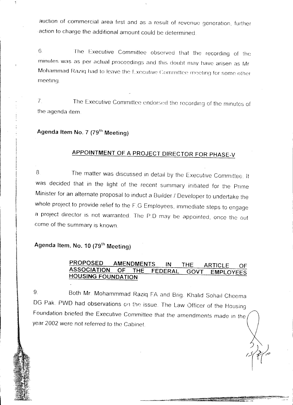auction of commercial area first and as a result of revenue generation, further action to charge the additional amount could be determined

<sup>G</sup> The Executive Committee observed that the recording of the minutes was as per actual proceedings and this doubt may have arisen as Mr Mohammad Raziq had to leave the Executive Committee meeting for some other meeting

7. The Executive Committee endorsed the recording of the minutes of the agenda item.

# **Agenda Item No.7 (79th Meeting)**

# **APPOINTMENT OF A PROJECT DIRECTOR FOR PHASE-V**

8. The matter was discussed in detail by the Executive Committee. It was decided that in the light of the recent summary initiated for the Prime Minister for an alternate proposal to induct a Builder / Developer to undertake the whole project to provide relief to the F.G Employees, immediate steps to engage a project director is not warranted. The P.D may be appointed, once the out come of the summary is known.

# **Agenda Item. No.1 0 (79th Meeting)**

I! i<br>Indonesia<br>I

> 1<br>1<br>1 ]

#### **PROPOSED AMENDMENTS IN THE ARTICLE OF ASSOCIATION OF THE FEDERAL GOVT EMPLOYEES HOUSING FOUNDATION**

9. Both Mr. Mohammmad Raziq FA and Brig. Khalid Sohall Cheema DG Pak. PWD had observations on the issue. The Law Officer of the Housing Foundation briefed the Executive Committee that the amendments made in the year 2002 were not referred to the Cabinet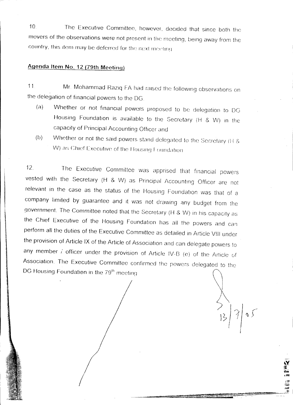<sup>10</sup> The Executive Committee, however, decided that since both the movers of the observations were not present in the meeting, being away from the country, this item may be deferred for the next meeting

### **Agenda Item** No. **12 {79th Meetingl**

الوقاء من المعرور 2013.<br>الوقاء من المعرور 2013.<br>-

المقابل موجود والأخراء من معاملة الأمريكية في الأمريكية.<br>الموجهة<br>الموجهة الموجهة الموجهة الموجهة الموجهة الموجهة الموجهة الموجهة الموجهة الموجهة الموجهة الموجهة الموجهة الموجه

**MONE OF ASSIST** 

11. Mr. Mohammad Raziq FA had raised the following observations on the delegation of financial powers to the DG

- (a) Whether or not financial powers proposed to be delegation to DG Housing Foundation is available to the Secretary (H & W) In the capacity of Principal Accounting Officer and
- (b) Whether or not the said powers stand delegated to the Secretary (H & W) as Chief Executive of the Housing Foundation

12. The Executive Committee was apprised that financial powers vested with the Secretary (H & W) as Principal Accounting Officer are not relevant in the case as the status of the Housing Foundation was that of a company limited by guarantee and it was not drawing any budget from the government. The Committee noted that the Secretary (H & W) in his capacity as the Chief Executive of the Housing Foundation has all the powers and can perform all the duties of the Executive Committee as detailed in Article VIII under the provision of Article IX of the Article of Association and can delegate powers to any member i officer under the provision of Article IV-B (e) of the Article of Association. The Executive Committee confirmed the powers delegated to the DG Housing Foundation in the 79<sup>th</sup> meeting

*I*

*I*

*JOf* '0<' nat ,21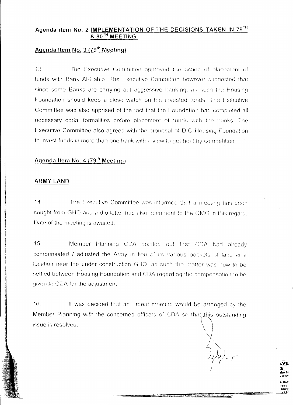# Agenda item No. 2 IMPLEMENTATION OF THE DECISIONS TAKEN IN 79TH

## Agenda Item No. 3 (79<sup>th</sup> Meeting)

 $13$ The Executive Committee approved the action of placement of funds with Bank Al-Habib. The Executive Committee however suggested that since some Banks are carrying out aggressive banking, as such the Housing Foundation should keep a close watch on the invested funds. The Exécutive Committee was also apprised of the fact that the Foundation had completed all necessary codal formalities before placement of funds with the banks. The Executive Committee also agreed with the proposal of D.G Housing Foundation to invest funds in more than one bank with a view to get healthy competition.

## Agenda Item No. 4 (79<sup>th</sup> Meeting)

#### ARMY LAND

 $14$ The Executive Committee was informed that a meeting has been sought from GHQ and a dio letter has also been sent to the QMG in this regard. Date of the meeting is awaited.

 $15<sub>1</sub>$ Member Planning CDA pointed out that CDA had already compensated / adjusted the Army in lieu of its various pockets of land at a location near the under construction GHQ, as such the matter was now to be settled between Housing Foundation and CDA regarding the compensation to be given to CDA for the adjustment.

 $16.$ It was decided that an urgent meeting would be arranged by the Member Planning with the concerned officers of CDA so that this outstanding issue is resolved.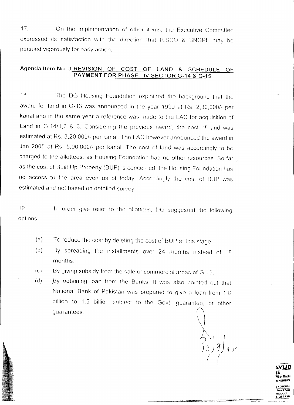$17<sub>1</sub>$ On the implementation of other items, the Executive Committee expressed its satisfaction with the direction that IESCO & SNGPL may be persued vigorously for early action.

#### Agenda Item No. 3 REVISION OF COST OF LAND  $\mathbf{g}$ SCHEDULE OF PAYMENT FOR PHASE -IV SECTOR G-14 & G-15

The DG Housing Foundation explained the background that the 18. award for land in G-13 was announced in the year 1999 at Rs. 2,30,000/- per kanal and in the same year a reference was made to the LAC for acquisition of Land in G-14/1,2 & 3. Considering the previous award, the cost of land was estimated at Rs. 3,20,000/- per kanal. The LAC however announced the award in Jan 2005 at Rs, 5,90,000/- per kanal. The cost of land was accordingly to be charged to the allottees, as Housing Foundation had no other resources. So far as the cost of Built Up Property (BUP) is concerned, the Housing Foundation has no access to the area even as of today. Accordingly the cost of BUP was estimated and not based on detailed survey.

In order give relief to the allottees, DG suggested the following  $19$ options:-

- To reduce the cost by deleting the cost of BUP at this stage.  $(a)$
- By spreading the installments over 24 months instead of 18  $(b)$ months.
- By giving subsidy from the sale of commercial areas of G-13.  $\left( \mathrm{c}\right)$
- By obtaining loan from the Banks. It was also pointed out that  $(d)$ National Bank of Pakistan was prepared to give a loan from 1.0 billion to 1.5 billion subject to the Govt. guarantee, or other quarantees.

287438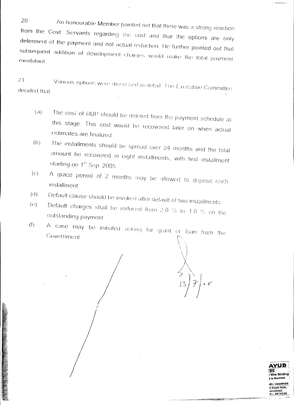20. An honourable Member pointed out that there was a strong reaction from the Govt. Servants regarding the cost and that the options are only deferment of the payment and not actual reduction. He further pointed out that subsequent addition of development charges would make the total payment exorbitant

 $21$ Various options were discussed in detail. The Executive Committee decided that

- The cost of BUP should be deleted from the payment schedule at  $(i)$ this stage. This cost would be recovered later on when actual estimates are finalized
- The installments should be spread over 24 months and the total  $(b)$ amount be recovered in eight installments, with first installment starting on 1st Sep. 2005.
- $(c)$ A grace period of 2 months may be allowed to deposit each installment.
- Default clause should be invoked after default of two installments  $(d)$
- Default charges shall be reduced from 2.0 % to 1.0 % on the  $(\Omega)$ outstanding payment
- A case may be initiated asking for grant or loan from the  $(f)$ Government.



 $\pm$   $\pm$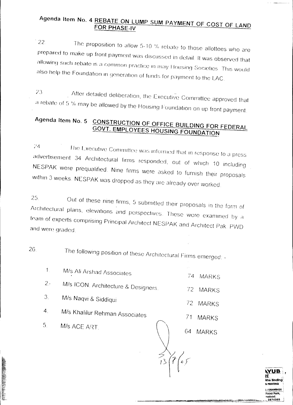## Agenda Item No. 4 REBATE ON LUMP SUM PAYMENT OF COST OF LAND FOR PHASE-IV

22 The proposition to allow 5-10 % rebate to those allottees who are prepared to make up front payment was discussed in detail. It was observed that allowing such rebate is a common practice in may Housing Societies. This would also help the Foundation in generation of funds for payment to the LAC.

23 After detailed deliberation, the Executive Committee approved that a rebate of 5 % may be allowed by the Housing Foundation on up front payment.

#### Agenda Item No. 5 CONSTRUCTION OF OFFICE BUILDING FOR FEDERAL **GOVT. EMPLOYEES HOUSING FOUNDATION**

 $24$ The Executive Committee was informed that in response to a press advertisement 34 Architectural firms responded, out of which 10 including NESPAK were prequalified. Nine firms were asked to furnish their proposals within 3 weeks. NESPAK was dropped as they are already over worked.

25 Out of these nine firms, 5 submitted their proposals in the form of Architectural plans, elevations and perspectives. These were examined by a team of experts comprising Principal Architect NESPAK and Architect Pak. PWD and were graded.

26.

The following position of these Architectural Firms emerged: -

 $\left( \frac{1}{3} \right)^2$   $\left( \frac{1}{3} \right)^2$ 

| 1.               | M/s Ali Arshad Associates           | $\overline{7}4$<br><b>MARKS</b> |
|------------------|-------------------------------------|---------------------------------|
| 2.5              | M/s ICON. Architecture & Designers. | 72.<br><b>MARKS</b>             |
| 3.               | M/s Naqvi & Siddiqui                | 72.<br><b>MARKS</b>             |
| $\overline{4}$ . | M/s Khalilur Rehman Associates      | 71<br><b>MARKS</b>              |
| 5.               | M/s ACE ART.                        | 64<br><b>MARKS</b>              |
|                  |                                     |                                 |

**Vire Binding** ood Park 2874385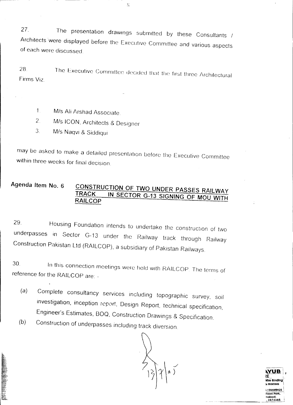27. The presentation drawings submitted by these Consultants / Architects were displayed before the Executive Committee and various aspects of each were discussed.

28. Finns VIZ. The Executive Committee decided that the first three Architectural

- 1. M/s Ali Arshad Associate.
- 2. Mis ICON, Architects & Designer
- *3 Mis* Naqvi & Siddiqui

may be asked to make a detailed presentation before the Executive Committee within three weeks for final decision.

#### **Agenda Item No. 6 CONSTRUCTION OF TWO UNDER PASSES RAILWAY TRACK IN SECTOR G-13 SIGNING OF MOU WITH RAILCOP**

29. Housing Foundation intends to undertake the construction of two underpasses in Sector G-13 under the Railway track through Railway Construction Pakistan Ltd (RAILCOP), a subsidiary of Pakistan Railways.

In this connection meetings were held with RAILCOP. The terms of 30. reference for the RAILCOP are: -

- (a) Complete consultancy services *including* topographic survey, soil investigation, inception report, Design Report, technical specification, Engineer's Estimates, BOO, Construction Drawings & Specification.
- *(b)* Construction of underpasses including track diversion

**,VUB\,** ~E i **M..e**Binding: ~PRINTING i *; I* DRAWINGS : Food Park. **nabad.** ,2874385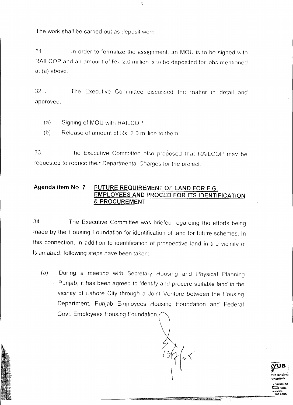The work shall be carried out as deposit work.

31 In order to formalize the assignment, an MOU IS to be signed with RAILCOP and an amount of Rs. 2.0 million is to be deposited for jobs mentioned at (a) above.

 $\left\langle \cdot \right\rangle$ 

32. - The Executive Committee discussed the matter in detail and approved.

(a) Signing of MOU with RAILCOP

(b) Release of amount of Rs. 2.0 million to them.

33 The Executive Committee also proposed that RAILCOP may be requested to reduce their Departmental Charges for the project

#### **Agenda item NO.7 FUTURE REQUIREMENT OF LAND FOR** F.G. **EMPLOYEES AND PROCED FOR ITS IDENTIFICATION & PROCUREMENT**

34. The Executive Committee was briefed regarding the efforts being made by the Housing Foundation for identification of land for future schemes. In this connection, in addition to identification of prospective land in the vicinity of Islamabad, following steps have been taken: -

(a) During a meeting with Secretary Housing and PhYSical Planning . Punjab, it has been agreed to identify and procure suitable land in the vicinity of Lahore City through a JOint Venture between the Housing Department, Punjab Employees Housing Foundation and Federal Govt. Employees Housing Foundation.

**"YUB \** tE<br>Vire Binding , PIlI.il1NG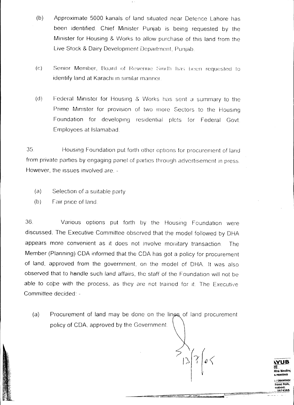- (b) Approximate 5000 kanals of land situated near Defence Lahore has been identified. Chief Minister Punjab is being requested by the Minister for Housing & Works to allow purchase of this land from the Live Stock & Dairy Development Department, Punjab.
- $(c)$ Senior Member, Board of Revenue Sindh has been requested to identify land at Karachi in similar manner.
- (d) Federal Minister for Housing & Works has sent a summary to the Prime Minister for provision of two more Sectors to the Housing Foundation for developing residential plets for Federal Govt. Employees at Islamabad.

35. Housing Foundation put forth other options for procurement of land from private parties by engaging pane! of parties through advertisement in press. However, the issues involved are. -

- $(a)$  Selection of a suitable party
- $(b)$  Fair price of land.

36. Various options put forth by the HOUSing Foundation were discussed. The Executive Committee observed that the model followed by DHA appears more convenient as it does not involve monitary transaction. The Member (Planning) CDA informed that the CDA has got a policy for procurement of land, approved from the government, on the model of DHA It was also observed that to handle such land affairs, the staff of the Foundation will not be able to cope with the process, as they are not trained for it. The Executive Committee decided: -

Procurement of land may be done on the lines of land procurement policy of CDA. approved by the Government (a)

**,VUB lE** /lire Blndln~ ill PRIHl1HG I'DRAWlHGl Food Park.

nabad.<br>287438...

,I **- ~**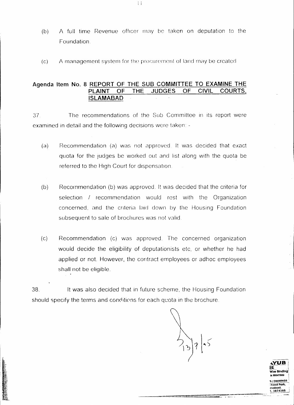- A full time Revenue officer may be taken on deputation to the  $(b)$ Foundation.
- A management system for the procurement of land may be created  $(c)$

#### Agenda Item No. 8 REPORT OF THE SUB COMMITTEE TO EXAMINE THE OF THE **JUDGES** OF **CIVIL** COURTS. **PI AINT ISLAMABAD**

The recommendations of the Sub Committee in its report were  $37<sub>1</sub>$ examined in detail and the following decisions were taken: -

- Recommendation (a) was not approved. It was decided that exact  $(a)$ quota for the judges be worked out and list along with the quota be referred to the High Court for dispensation.
- $(b)$ Recommendation (b) was approved. It was decided that the criteria for selection / recommendation would rest with the Organization concerned, and the criteria laid down by the Housing Foundation subsequent to sale of brochures was not valid.
- Recommendation (c) was approved. The concerned organization  $(c)$ would decide the eligibility of deputationists etc. or whether he had applied or not. However, the contract employees or adhoc employees shall not be eligible.

38. It was also decided that in future scheme, the Housing Foundation should specify the terms and conditions for each quota in the brochure.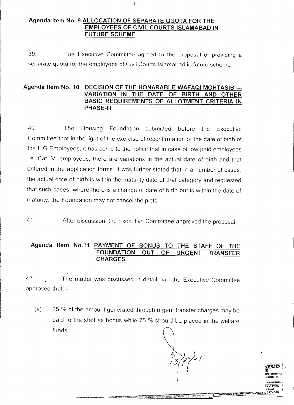#### Agenda Item No. 9 ALLOCATION OF SEPARATE QUOTA FOR THE **EMPLOYEES OF CIVIL COURTS ISLAMABAD IN FUTURE SCHEME.**

39 The Executive Committee agreed to the proposal of providing a separate quota for the employees of Civil Courts Islamabad in future scheme.

#### Agenda Item No. 10 DECISION OF THE HONARABLE WAFAQI MOHTASIB ---VARIATION IN THE DATE OF BIRTH AND OTHER BASIC REQUIREMENTS OF ALLOTMENT CRITERIA IN **PHASE-III**

40. Housing Foundation submitted before the Executive The Committee that in the light of the exercise of reconfirmation of the date of birth of the F.G Employees, it has come to the notice that in case of low paid employees i.e. Cat. V, employees, there are variations in the actual date of birth and that entered in the application forms. It was further stated that in a number of cases, the actual date of birth is within the maturity date of that category and requested that such cases, where there is a change of date of birth but is within the date of maturity, the Foundation may not cancel the plots.

41. After discussion, the Executive Committee approved the proposal.

#### Agenda Item No.11 PAYMENT OF BONUS TO THE STAFF OF THE **FOUNDATION OUT OF URGENT TRANSFER CHARGES**

42 The matter was discussed in detail and the Executive Committee approved that: -

25 % of the amount generated through urgent transfer charges may be  $(a)$ paid to the staff as bonus while 75 % should be placed in the welfare funds.

TAIS 2626078, 2676666, 24

 $\mathbb{R}^2$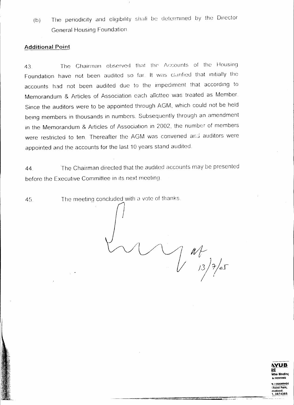(b) The periodicity and eligibility shall be determined by the Director General Housing Foundation

#### **Additional Point**

The Chairman observed that the Accounts of the Housing 43 Foundation have not been audited so far. It was clarified that initially the accounts had not been audited due to the Impediment that according to Memorandum & Articles of Association each allottee was treated as Member. Since the auditors were to be appointed through AGM, which could not be held being members in thousands in numbers. Subsequently through an amendment in the Memorandum & Articles of Association in 2002, the number of members were restricted to ten. Thereafter the AGM was convened and auditors were appointed and the accounts for the last 10 years stand audited

44. The Chairman directed that the audited accounts may be presented before the Executive Committee in its next meeting.

The meeting conciuded With a vote of thanks 45.

 $\begin{pmatrix} 1 & 0 \\ 0 & 0 \end{pmatrix}$ 



'S / DRAWING 'Food Pall<. .mabad. 1,2874385